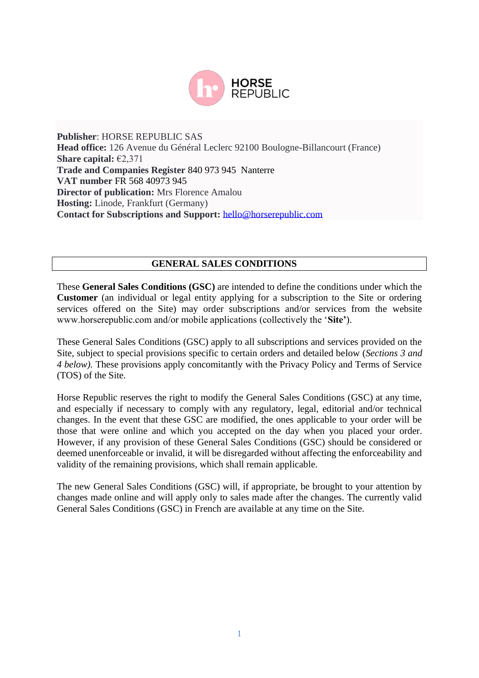

**Publisher**: HORSE REPUBLIC SAS **Head office:** 126 Avenue du Général Leclerc 92100 Boulogne-Billancourt (France) **Share capital:** €2,371 **Trade and Companies Register** 840 973 945 Nanterre **VAT number** FR 568 40973 945 **Director of publication:** Mrs Florence Amalou **Hosting:** Linode, Frankfurt (Germany) **Contact for Subscriptions and Support:** [hello@horserepublic.com](mailto:hello@horserepublic.com)

#### **GENERAL SALES CONDITIONS**

These **General Sales Conditions (GSC)** are intended to define the conditions under which the **Customer** (an individual or legal entity applying for a subscription to the Site or ordering services offered on the Site) may order subscriptions and/or services from the website www.horserepublic.com and/or mobile applications (collectively the '**Site'**).

These General Sales Conditions (GSC) apply to all subscriptions and services provided on the Site, subject to special provisions specific to certain orders and detailed below (*Sections 3 and 4 below).* These provisions apply concomitantly with the Privacy Policy and Terms of Service (TOS) of the Site.

Horse Republic reserves the right to modify the General Sales Conditions (GSC) at any time, and especially if necessary to comply with any regulatory, legal, editorial and/or technical changes. In the event that these GSC are modified, the ones applicable to your order will be those that were online and which you accepted on the day when you placed your order. However, if any provision of these General Sales Conditions (GSC) should be considered or deemed unenforceable or invalid, it will be disregarded without affecting the enforceability and validity of the remaining provisions, which shall remain applicable.

The new General Sales Conditions (GSC) will, if appropriate, be brought to your attention by changes made online and will apply only to sales made after the changes. The currently valid General Sales Conditions (GSC) in French are available at any time on the Site.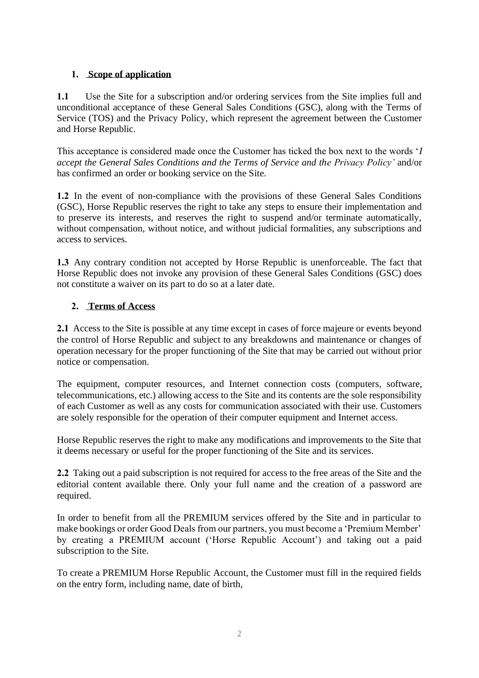# **1. Scope of application**

**1.1** Use the Site for a subscription and/or ordering services from the Site implies full and unconditional acceptance of these General Sales Conditions (GSC), along with the Terms of Service (TOS) and the Privacy Policy, which represent the agreement between the Customer and Horse Republic.

This acceptance is considered made once the Customer has ticked the box next to the words '*I accept the General Sales Conditions and the Terms of Service and the Privacy Policy'* and/or has confirmed an order or booking service on the Site.

**1.2** In the event of non-compliance with the provisions of these General Sales Conditions (GSC), Horse Republic reserves the right to take any steps to ensure their implementation and to preserve its interests, and reserves the right to suspend and/or terminate automatically, without compensation, without notice, and without judicial formalities, any subscriptions and access to services.

**1.3** Any contrary condition not accepted by Horse Republic is unenforceable. The fact that Horse Republic does not invoke any provision of these General Sales Conditions (GSC) does not constitute a waiver on its part to do so at a later date.

## **2. Terms of Access**

**2.1** Access to the Site is possible at any time except in cases of force majeure or events beyond the control of Horse Republic and subject to any breakdowns and maintenance or changes of operation necessary for the proper functioning of the Site that may be carried out without prior notice or compensation.

The equipment, computer resources, and Internet connection costs (computers, software, telecommunications, etc.) allowing access to the Site and its contents are the sole responsibility of each Customer as well as any costs for communication associated with their use. Customers are solely responsible for the operation of their computer equipment and Internet access.

Horse Republic reserves the right to make any modifications and improvements to the Site that it deems necessary or useful for the proper functioning of the Site and its services.

**2.2** Taking out a paid subscription is not required for access to the free areas of the Site and the editorial content available there. Only your full name and the creation of a password are required.

In order to benefit from all the PREMIUM services offered by the Site and in particular to make bookings or order Good Deals from our partners, you must become a 'Premium Member' by creating a PREMIUM account ('Horse Republic Account') and taking out a paid subscription to the Site.

To create a PREMIUM Horse Republic Account, the Customer must fill in the required fields on the entry form, including name, date of birth,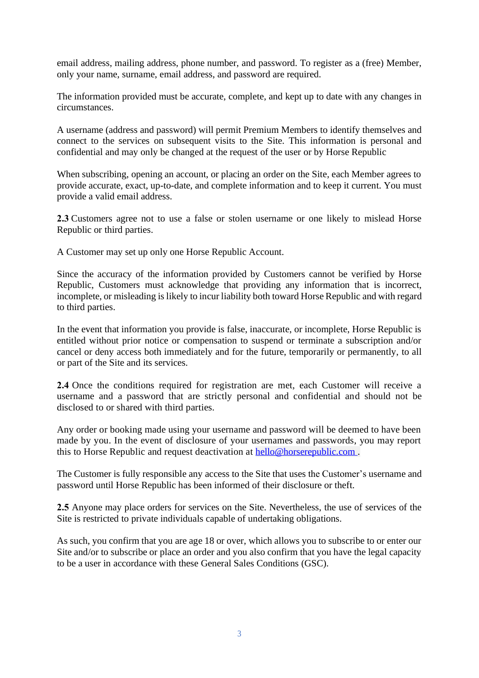email address, mailing address, phone number, and password. To register as a (free) Member, only your name, surname, email address, and password are required.

The information provided must be accurate, complete, and kept up to date with any changes in circumstances.

A username (address and password) will permit Premium Members to identify themselves and connect to the services on subsequent visits to the Site. This information is personal and confidential and may only be changed at the request of the user or by Horse Republic

When subscribing, opening an account, or placing an order on the Site, each Member agrees to provide accurate, exact, up-to-date, and complete information and to keep it current. You must provide a valid email address.

**2.3** Customers agree not to use a false or stolen username or one likely to mislead Horse Republic or third parties.

A Customer may set up only one Horse Republic Account.

Since the accuracy of the information provided by Customers cannot be verified by Horse Republic, Customers must acknowledge that providing any information that is incorrect, incomplete, or misleading is likely to incur liability both toward Horse Republic and with regard to third parties.

In the event that information you provide is false, inaccurate, or incomplete, Horse Republic is entitled without prior notice or compensation to suspend or terminate a subscription and/or cancel or deny access both immediately and for the future, temporarily or permanently, to all or part of the Site and its services.

**2.4** Once the conditions required for registration are met, each Customer will receive a username and a password that are strictly personal and confidential and should not be disclosed to or shared with third parties.

Any order or booking made using your username and password will be deemed to have been made by you. In the event of disclosure of your usernames and passwords, you may report this to Horse Republic and request deactivation at hello@horserepublic.com .

The Customer is fully responsible any access to the Site that uses the Customer's username and password until Horse Republic has been informed of their disclosure or theft.

**2.5** Anyone may place orders for services on the Site. Nevertheless, the use of services of the Site is restricted to private individuals capable of undertaking obligations.

As such, you confirm that you are age 18 or over, which allows you to subscribe to or enter our Site and/or to subscribe or place an order and you also confirm that you have the legal capacity to be a user in accordance with these General Sales Conditions (GSC).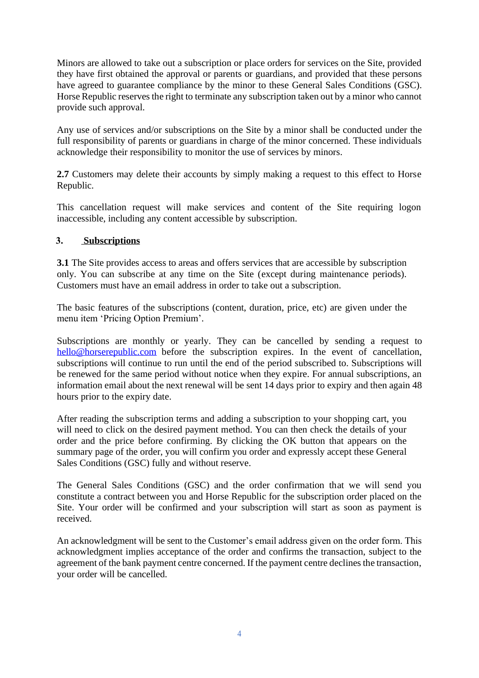Minors are allowed to take out a subscription or place orders for services on the Site, provided they have first obtained the approval or parents or guardians, and provided that these persons have agreed to guarantee compliance by the minor to these General Sales Conditions (GSC). Horse Republic reserves the right to terminate any subscription taken out by a minor who cannot provide such approval.

Any use of services and/or subscriptions on the Site by a minor shall be conducted under the full responsibility of parents or guardians in charge of the minor concerned. These individuals acknowledge their responsibility to monitor the use of services by minors.

**2.7** Customers may delete their accounts by simply making a request to this effect to Horse Republic.

This cancellation request will make services and content of the Site requiring logon inaccessible, including any content accessible by subscription.

#### **3. Subscriptions**

**3.1** The Site provides access to areas and offers services that are accessible by subscription only. You can subscribe at any time on the Site (except during maintenance periods). Customers must have an email address in order to take out a subscription.

The basic features of the subscriptions (content, duration, price, etc) are given under the menu item 'Pricing Option Premium'.

Subscriptions are monthly or yearly. They can be cancelled by sending a request to hello@horserepublic.com before the subscription expires. In the event of cancellation, subscriptions will continue to run until the end of the period subscribed to. Subscriptions will be renewed for the same period without notice when they expire. For annual subscriptions, an information email about the next renewal will be sent 14 days prior to expiry and then again 48 hours prior to the expiry date.

After reading the subscription terms and adding a subscription to your shopping cart, you will need to click on the desired payment method. You can then check the details of your order and the price before confirming. By clicking the OK button that appears on the summary page of the order, you will confirm you order and expressly accept these General Sales Conditions (GSC) fully and without reserve.

The General Sales Conditions (GSC) and the order confirmation that we will send you constitute a contract between you and Horse Republic for the subscription order placed on the Site. Your order will be confirmed and your subscription will start as soon as payment is received.

An acknowledgment will be sent to the Customer's email address given on the order form. This acknowledgment implies acceptance of the order and confirms the transaction, subject to the agreement of the bank payment centre concerned. If the payment centre declines the transaction, your order will be cancelled.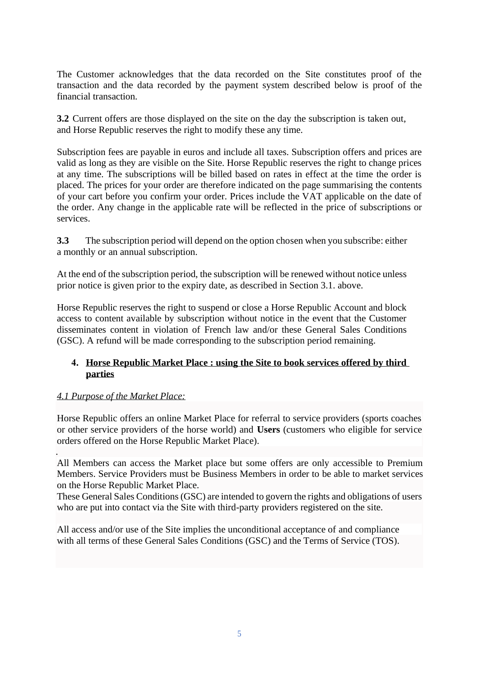The Customer acknowledges that the data recorded on the Site constitutes proof of the transaction and the data recorded by the payment system described below is proof of the financial transaction.

**3.2** Current offers are those displayed on the site on the day the subscription is taken out, and Horse Republic reserves the right to modify these any time.

Subscription fees are payable in euros and include all taxes. Subscription offers and prices are valid as long as they are visible on the Site. Horse Republic reserves the right to change prices at any time. The subscriptions will be billed based on rates in effect at the time the order is placed. The prices for your order are therefore indicated on the page summarising the contents of your cart before you confirm your order. Prices include the VAT applicable on the date of the order. Any change in the applicable rate will be reflected in the price of subscriptions or services.

**3.3** The subscription period will depend on the option chosen when you subscribe: either a monthly or an annual subscription.

At the end of the subscription period, the subscription will be renewed without notice unless prior notice is given prior to the expiry date, as described in Section 3.1. above.

Horse Republic reserves the right to suspend or close a Horse Republic Account and block access to content available by subscription without notice in the event that the Customer disseminates content in violation of French law and/or these General Sales Conditions (GSC). A refund will be made corresponding to the subscription period remaining.

## **4. Horse Republic Market Place : using the Site to book services offered by third parties**

## *4.1 Purpose of the Market Place:*

Horse Republic offers an online Market Place for referral to service providers (sports coaches or other service providers of the horse world) and **Users** (customers who eligible for service orders offered on the Horse Republic Market Place).

. All Members can access the Market place but some offers are only accessible to Premium Members. Service Providers must be Business Members in order to be able to market services on the Horse Republic Market Place.

These General Sales Conditions (GSC) are intended to govern the rights and obligations of users who are put into contact via the Site with third-party providers registered on the site.

All access and/or use of the Site implies the unconditional acceptance of and compliance with all terms of these General Sales Conditions (GSC) and the Terms of Service (TOS).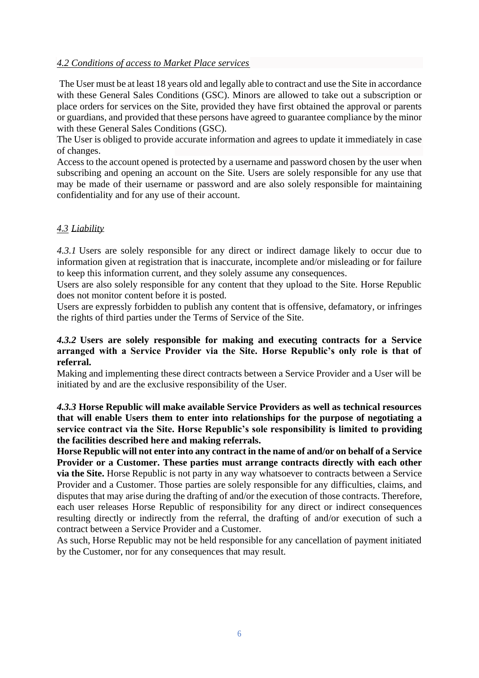#### *4.2 Conditions of access to Market Place services*

The User must be at least 18 years old and legally able to contract and use the Site in accordance with these General Sales Conditions (GSC). Minors are allowed to take out a subscription or place orders for services on the Site, provided they have first obtained the approval or parents or guardians, and provided that these persons have agreed to guarantee compliance by the minor with these General Sales Conditions (GSC).

The User is obliged to provide accurate information and agrees to update it immediately in case of changes.

Access to the account opened is protected by a username and password chosen by the user when subscribing and opening an account on the Site. Users are solely responsible for any use that may be made of their username or password and are also solely responsible for maintaining confidentiality and for any use of their account.

## *4.3 Liability*

*4.3.1* Users are solely responsible for any direct or indirect damage likely to occur due to information given at registration that is inaccurate, incomplete and/or misleading or for failure to keep this information current, and they solely assume any consequences.

Users are also solely responsible for any content that they upload to the Site. Horse Republic does not monitor content before it is posted.

Users are expressly forbidden to publish any content that is offensive, defamatory, or infringes the rights of third parties under the Terms of Service of the Site.

#### *4.3.2* **Users are solely responsible for making and executing contracts for a Service arranged with a Service Provider via the Site. Horse Republic's only role is that of referral.**

Making and implementing these direct contracts between a Service Provider and a User will be initiated by and are the exclusive responsibility of the User.

*4.3.3* **Horse Republic will make available Service Providers as well as technical resources that will enable Users them to enter into relationships for the purpose of negotiating a service contract via the Site. Horse Republic's sole responsibility is limited to providing the facilities described here and making referrals.**

**Horse Republic will not enter into any contract in the name of and/or on behalf of a Service Provider or a Customer. These parties must arrange contracts directly with each other via the Site.** Horse Republic is not party in any way whatsoever to contracts between a Service Provider and a Customer. Those parties are solely responsible for any difficulties, claims, and disputes that may arise during the drafting of and/or the execution of those contracts. Therefore, each user releases Horse Republic of responsibility for any direct or indirect consequences resulting directly or indirectly from the referral, the drafting of and/or execution of such a contract between a Service Provider and a Customer.

As such, Horse Republic may not be held responsible for any cancellation of payment initiated by the Customer, nor for any consequences that may result.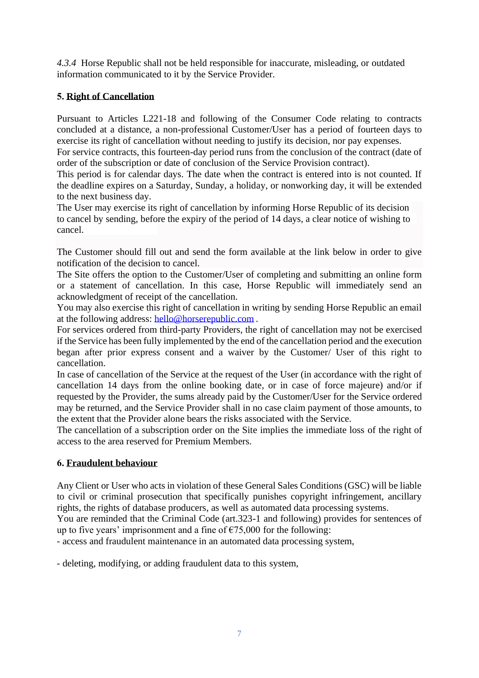*4.3.4* Horse Republic shall not be held responsible for inaccurate, misleading, or outdated information communicated to it by the Service Provider.

# **5. Right of Cancellation**

Pursuant to Articles L221-18 and following of the Consumer Code relating to contracts concluded at a distance, a non-professional Customer/User has a period of fourteen days to exercise its right of cancellation without needing to justify its decision, nor pay expenses.

For service contracts, this fourteen-day period runs from the conclusion of the contract (date of order of the subscription or date of conclusion of the Service Provision contract).

This period is for calendar days. The date when the contract is entered into is not counted. If the deadline expires on a Saturday, Sunday, a holiday, or nonworking day, it will be extended to the next business day.

The User may exercise its right of cancellation by informing Horse Republic of its decision to cancel by sending, before the expiry of the period of 14 days, a clear notice of wishing to cancel.

The Customer should fill out and send the form available at the link below in order to give notification of the decision to cancel.

The Site offers the option to the Customer/User of completing and submitting an online form or a statement of cancellation. In this case, Horse Republic will immediately send an acknowledgment of receipt of the cancellation.

You may also exercise this right of cancellation in writing by sending Horse Republic an email at the following address: hello@horserepublic.com .

For services ordered from third-party Providers, the right of cancellation may not be exercised if the Service has been fully implemented by the end of the cancellation period and the execution began after prior express consent and a waiver by the Customer/ User of this right to cancellation.

In case of cancellation of the Service at the request of the User (in accordance with the right of cancellation 14 days from the online booking date, or in case of force majeure) and/or if requested by the Provider, the sums already paid by the Customer/User for the Service ordered may be returned, and the Service Provider shall in no case claim payment of those amounts, to the extent that the Provider alone bears the risks associated with the Service.

The cancellation of a subscription order on the Site implies the immediate loss of the right of access to the area reserved for Premium Members.

## **6. Fraudulent behaviour**

Any Client or User who acts in violation of these General Sales Conditions (GSC) will be liable to civil or criminal prosecution that specifically punishes copyright infringement, ancillary rights, the rights of database producers, as well as automated data processing systems.

You are reminded that the Criminal Code (art.323-1 and following) provides for sentences of up to five years' imprisonment and a fine of  $\epsilon$ 75,000 for the following:

- access and fraudulent maintenance in an automated data processing system,

- deleting, modifying, or adding fraudulent data to this system,